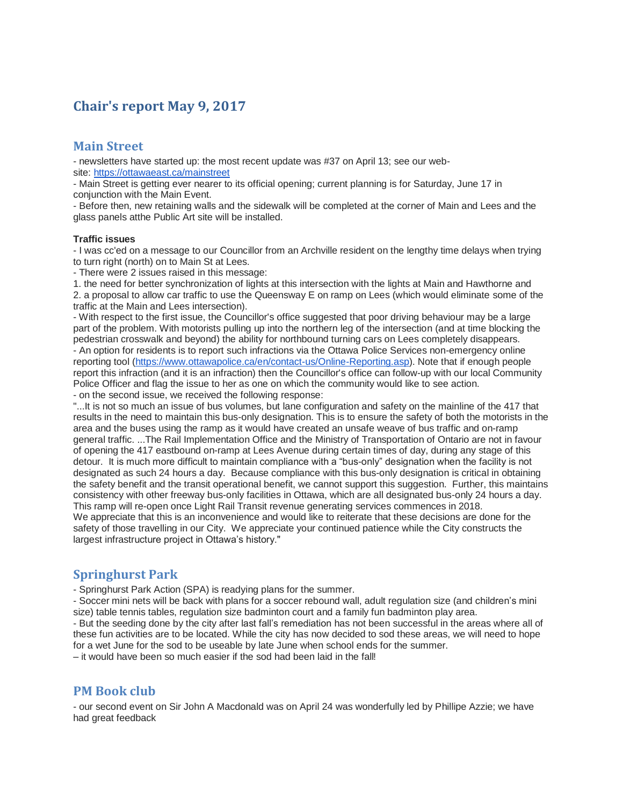# **Chair's report May 9, 2017**

#### **Main Street**

- newsletters have started up: the most recent update was #37 on April 13; see our website: <https://ottawaeast.ca/mainstreet>

- Main Street is getting ever nearer to its official opening; current planning is for Saturday, June 17 in conjunction with the Main Event.

- Before then, new retaining walls and the sidewalk will be completed at the corner of Main and Lees and the glass panels atthe Public Art site will be installed.

#### **Traffic issues**

- I was cc'ed on a message to our Councillor from an Archville resident on the lengthy time delays when trying to turn right (north) on to Main St at Lees.

- There were 2 issues raised in this message:

1. the need for better synchronization of lights at this intersection with the lights at Main and Hawthorne and 2. a proposal to allow car traffic to use the Queensway E on ramp on Lees (which would eliminate some of the traffic at the Main and Lees intersection).

- With respect to the first issue, the Councillor's office suggested that poor driving behaviour may be a large part of the problem. With motorists pulling up into the northern leg of the intersection (and at time blocking the pedestrian crosswalk and beyond) the ability for northbound turning cars on Lees completely disappears. - An option for residents is to report such infractions via the Ottawa Police Services non-emergency online reporting tool [\(https://www.ottawapolice.ca/en/contact-us/Online-Reporting.asp\)](https://www.ottawapolice.ca/en/contact-us/Online-Reporting.asp). Note that if enough people report this infraction (and it is an infraction) then the Councillor's office can follow-up with our local Community Police Officer and flag the issue to her as one on which the community would like to see action. - on the second issue, we received the following response:

"...It is not so much an issue of bus volumes, but lane configuration and safety on the mainline of the 417 that results in the need to maintain this bus-only designation. This is to ensure the safety of both the motorists in the area and the buses using the ramp as it would have created an unsafe weave of bus traffic and on-ramp general traffic. ...The Rail Implementation Office and the Ministry of Transportation of Ontario are not in favour of opening the 417 eastbound on-ramp at Lees Avenue during certain times of day, during any stage of this detour. It is much more difficult to maintain compliance with a "bus-only" designation when the facility is not designated as such 24 hours a day. Because compliance with this bus-only designation is critical in obtaining the safety benefit and the transit operational benefit, we cannot support this suggestion. Further, this maintains consistency with other freeway bus-only facilities in Ottawa, which are all designated bus-only 24 hours a day. This ramp will re-open once Light Rail Transit revenue generating services commences in 2018. We appreciate that this is an inconvenience and would like to reiterate that these decisions are done for the safety of those travelling in our City. We appreciate your continued patience while the City constructs the largest infrastructure project in Ottawa's history."

### **Springhurst Park**

- Springhurst Park Action (SPA) is readying plans for the summer.

- Soccer mini nets will be back with plans for a soccer rebound wall, adult regulation size (and children's mini size) table tennis tables, regulation size badminton court and a family fun badminton play area.

- But the seeding done by the city after last fall's remediation has not been successful in the areas where all of these fun activities are to be located. While the city has now decided to sod these areas, we will need to hope for a wet June for the sod to be useable by late June when school ends for the summer.

– it would have been so much easier if the sod had been laid in the fall!

### **PM Book club**

- our second event on Sir John A Macdonald was on April 24 was wonderfully led by Phillipe Azzie; we have had great feedback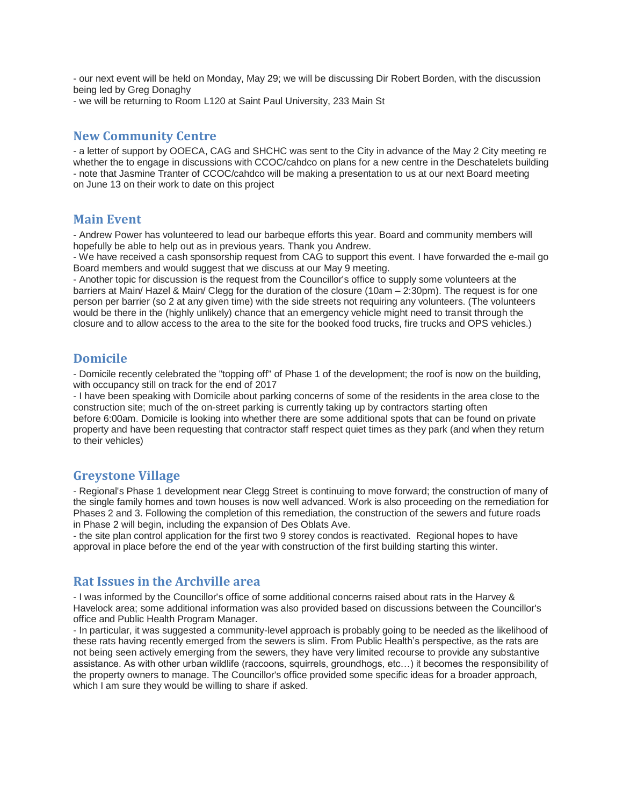- our next event will be held on Monday, May 29; we will be discussing Dir Robert Borden, with the discussion being led by Greg Donaghy

- we will be returning to Room L120 at Saint Paul University, 233 Main St

#### **New Community Centre**

- a letter of support by OOECA, CAG and SHCHC was sent to the City in advance of the May 2 City meeting re whether the to engage in discussions with CCOC/cahdco on plans for a new centre in the Deschatelets building - note that Jasmine Tranter of CCOC/cahdco will be making a presentation to us at our next Board meeting on June 13 on their work to date on this project

#### **Main Event**

- Andrew Power has volunteered to lead our barbeque efforts this year. Board and community members will hopefully be able to help out as in previous years. Thank you Andrew.

- We have received a cash sponsorship request from CAG to support this event. I have forwarded the e-mail go Board members and would suggest that we discuss at our May 9 meeting.

- Another topic for discussion is the request from the Councillor's office to supply some volunteers at the barriers at Main/ Hazel & Main/ Clegg for the duration of the closure (10am – 2:30pm). The request is for one person per barrier (so 2 at any given time) with the side streets not requiring any volunteers. (The volunteers would be there in the (highly unlikely) chance that an emergency vehicle might need to transit through the closure and to allow access to the area to the site for the booked food trucks, fire trucks and OPS vehicles.)

### **Domicile**

- Domicile recently celebrated the "topping off" of Phase 1 of the development; the roof is now on the building, with occupancy still on track for the end of 2017

- I have been speaking with Domicile about parking concerns of some of the residents in the area close to the construction site; much of the on-street parking is currently taking up by contractors starting often before 6:00am. Domicile is looking into whether there are some additional spots that can be found on private property and have been requesting that contractor staff respect quiet times as they park (and when they return to their vehicles)

### **Greystone Village**

- Regional's Phase 1 development near Clegg Street is continuing to move forward; the construction of many of the single family homes and town houses is now well advanced. Work is also proceeding on the remediation for Phases 2 and 3. Following the completion of this remediation, the construction of the sewers and future roads in Phase 2 will begin, including the expansion of Des Oblats Ave.

- the site plan control application for the first two 9 storey condos is reactivated. Regional hopes to have approval in place before the end of the year with construction of the first building starting this winter.

#### **Rat Issues in the Archville area**

- I was informed by the Councillor's office of some additional concerns raised about rats in the Harvey & Havelock area; some additional information was also provided based on discussions between the Councillor's office and Public Health Program Manager.

- In particular, it was suggested a community-level approach is probably going to be needed as the likelihood of these rats having recently emerged from the sewers is slim. From Public Health's perspective, as the rats are not being seen actively emerging from the sewers, they have very limited recourse to provide any substantive assistance. As with other urban wildlife (raccoons, squirrels, groundhogs, etc…) it becomes the responsibility of the property owners to manage. The Councillor's office provided some specific ideas for a broader approach, which I am sure they would be willing to share if asked.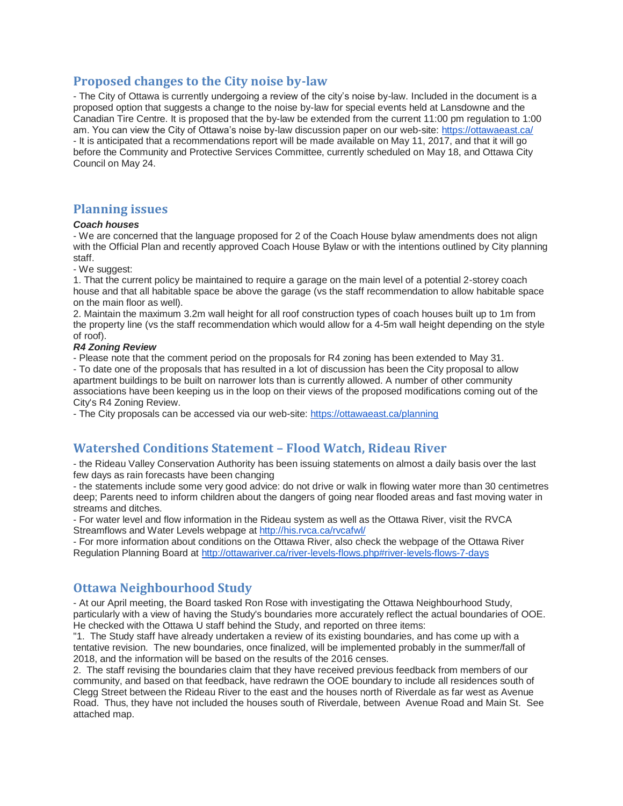### **Proposed changes to the City noise by-law**

- The City of Ottawa is currently undergoing a review of the city's noise by-law. Included in the document is a proposed option that suggests a change to the noise by-law for special events held at Lansdowne and the Canadian Tire Centre. It is proposed that the by-law be extended from the current 11:00 pm regulation to 1:00 am. You can view the City of Ottawa's noise by-law discussion paper on our web-site: <https://ottawaeast.ca/> - It is anticipated that a recommendations report will be made available on May 11, 2017, and that it will go before the Community and Protective Services Committee, currently scheduled on May 18, and Ottawa City Council on May 24.

## **Planning issues**

#### *Coach houses*

- We are concerned that the language proposed for 2 of the Coach House bylaw amendments does not align with the Official Plan and recently approved Coach House Bylaw or with the intentions outlined by City planning staff.

- We suggest:

1. That the current policy be maintained to require a garage on the main level of a potential 2-storey coach house and that all habitable space be above the garage (vs the staff recommendation to allow habitable space on the main floor as well).

2. Maintain the maximum 3.2m wall height for all roof construction types of coach houses built up to 1m from the property line (vs the staff recommendation which would allow for a 4-5m wall height depending on the style of roof).

#### *R4 Zoning Review*

- Please note that the comment period on the proposals for R4 zoning has been extended to May 31.

- To date one of the proposals that has resulted in a lot of discussion has been the City proposal to allow apartment buildings to be built on narrower lots than is currently allowed. A number of other community associations have been keeping us in the loop on their views of the proposed modifications coming out of the City's R4 Zoning Review.

- The City proposals can be accessed via our web-site: <https://ottawaeast.ca/planning>

# **Watershed Conditions Statement – Flood Watch, Rideau River**

- the Rideau Valley Conservation Authority has been issuing statements on almost a daily basis over the last few days as rain forecasts have been changing

- the statements include some very good advice: do not drive or walk in flowing water more than 30 centimetres deep; Parents need to inform children about the dangers of going near flooded areas and fast moving water in streams and ditches.

- For water level and flow information in the Rideau system as well as the Ottawa River, visit the RVCA Streamflows and Water Levels webpage at <http://his.rvca.ca/rvcafwl/>

- For more information about conditions on the Ottawa River, also check the webpage of the Ottawa River Regulation Planning Board at <http://ottawariver.ca/river-levels-flows.php#river-levels-flows-7-days>

# **Ottawa Neighbourhood Study**

- At our April meeting, the Board tasked Ron Rose with investigating the Ottawa Neighbourhood Study, particularly with a view of having the Study's boundaries more accurately reflect the actual boundaries of OOE. He checked with the Ottawa U staff behind the Study, and reported on three items:

"1. The Study staff have already undertaken a review of its existing boundaries, and has come up with a tentative revision. The new boundaries, once finalized, will be implemented probably in the summer/fall of 2018, and the information will be based on the results of the 2016 censes.

2. The staff revising the boundaries claim that they have received previous feedback from members of our community, and based on that feedback, have redrawn the OOE boundary to include all residences south of Clegg Street between the Rideau River to the east and the houses north of Riverdale as far west as Avenue Road. Thus, they have not included the houses south of Riverdale, between Avenue Road and Main St. See attached map.